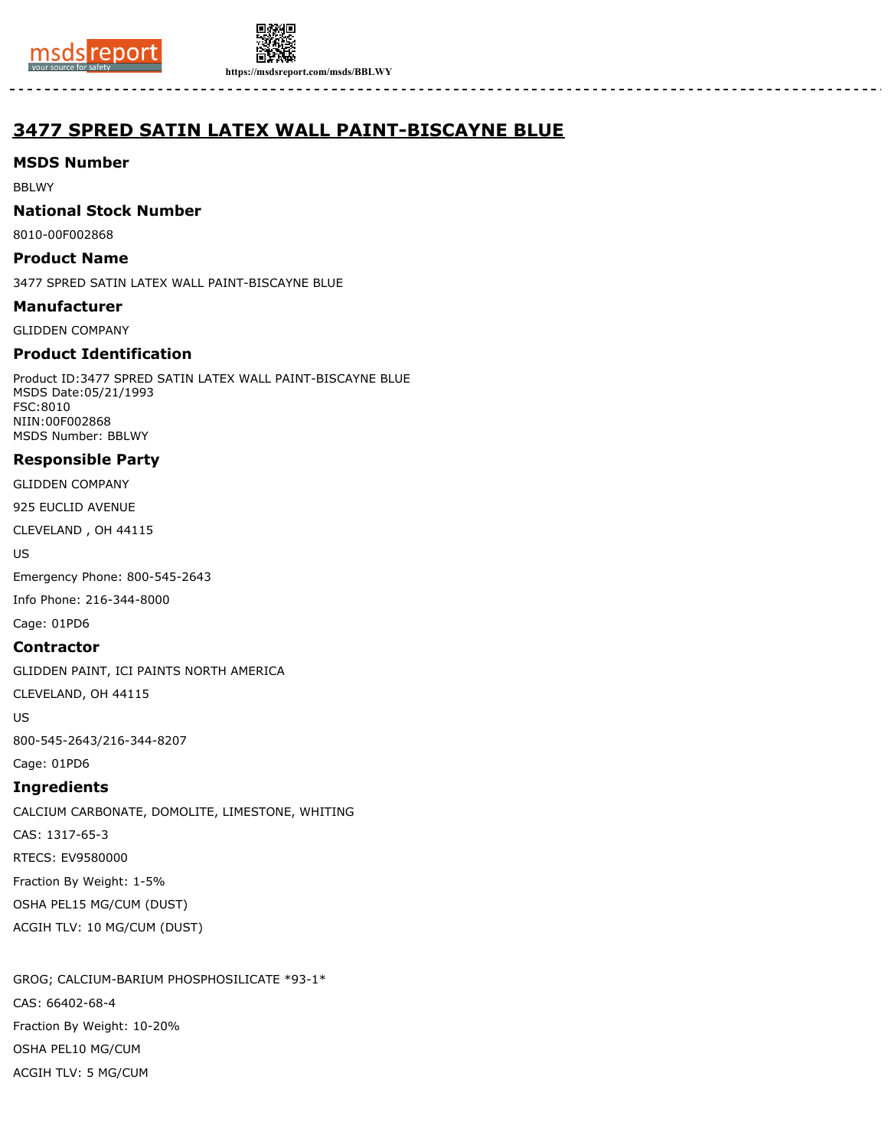



**https://msdsreport.com/msds/BBLWY**

# **3477 SPRED SATIN LATEX WALL PAINT-BISCAYNE BLUE**

# **MSDS Number**

BBLWY

### **National Stock Number**

8010-00F002868

### **Product Name**

3477 SPRED SATIN LATEX WALL PAINT-BISCAYNE BLUE

### **Manufacturer**

GLIDDEN COMPANY

# **Product Identification**

Product ID:3477 SPRED SATIN LATEX WALL PAINT-BISCAYNE BLUE MSDS Date:05/21/1993 FSC:8010 NIIN:00F002868 MSDS Number: BBLWY

# **Responsible Party**

GLIDDEN COMPANY

925 EUCLID AVENUE

CLEVELAND , OH 44115

US

Emergency Phone: 800-545-2643

Info Phone: 216-344-8000

Cage: 01PD6

# **Contractor**

GLIDDEN PAINT, ICI PAINTS NORTH AMERICA

CLEVELAND, OH 44115

US

800-545-2643/216-344-8207

# Cage: 01PD6 **Ingredients**

CALCIUM CARBONATE, DOMOLITE, LIMESTONE, WHITING CAS: 1317-65-3 RTECS: EV9580000 Fraction By Weight: 1-5% OSHA PEL15 MG/CUM (DUST) ACGIH TLV: 10 MG/CUM (DUST)

GROG; CALCIUM-BARIUM PHOSPHOSILICATE \*93-1\* CAS: 66402-68-4 Fraction By Weight: 10-20% OSHA PEL10 MG/CUM ACGIH TLV: 5 MG/CUM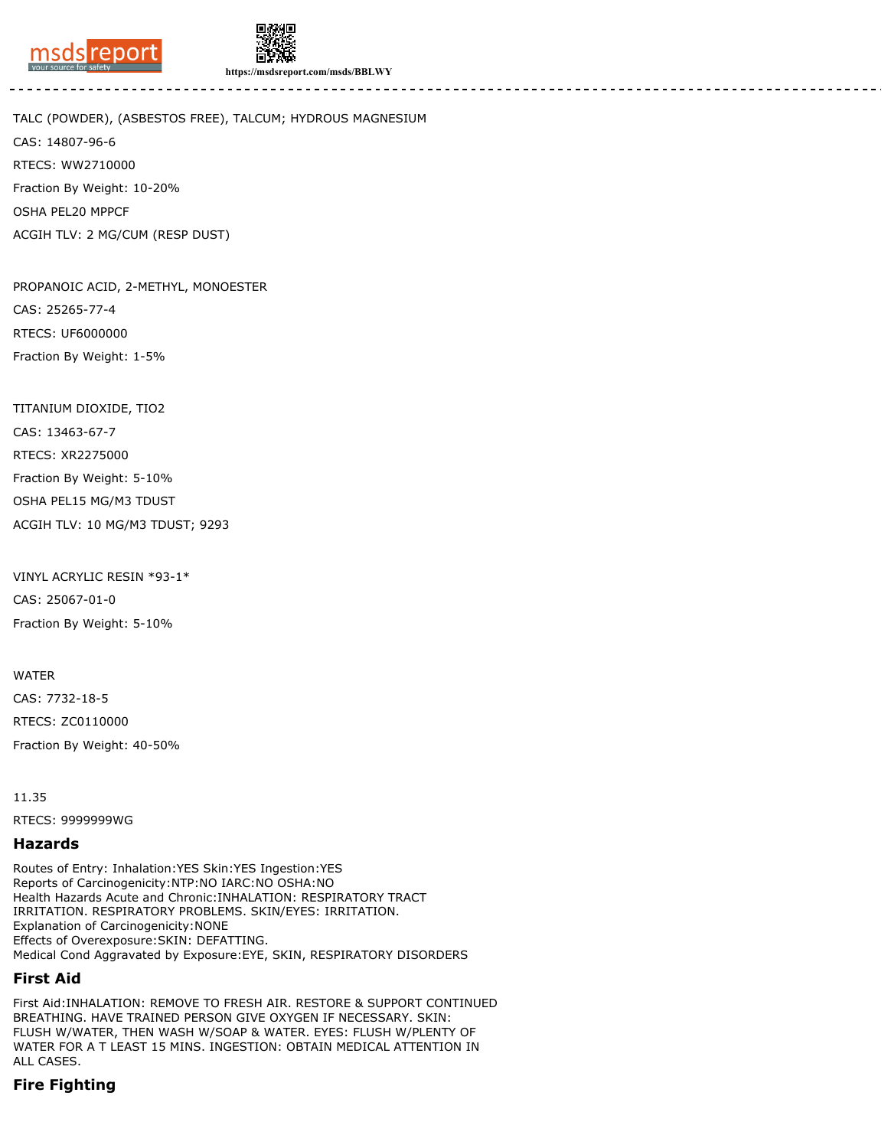



**https://msdsreport.com/msds/BBLWY**

TALC (POWDER), (ASBESTOS FREE), TALCUM; HYDROUS MAGNESIUM CAS: 14807-96-6 RTECS: WW2710000 Fraction By Weight: 10-20% OSHA PEL20 MPPCF ACGIH TLV: 2 MG/CUM (RESP DUST)

PROPANOIC ACID, 2-METHYL, MONOESTER CAS: 25265-77-4 RTECS: UF6000000 Fraction By Weight: 1-5%

TITANIUM DIOXIDE, TIO2 CAS: 13463-67-7 RTECS: XR2275000 Fraction By Weight: 5-10% OSHA PEL15 MG/M3 TDUST ACGIH TLV: 10 MG/M3 TDUST; 9293

VINYL ACRYLIC RESIN \*93-1\* CAS: 25067-01-0 Fraction By Weight: 5-10%

WATER CAS: 7732-18-5 RTECS: ZC0110000 Fraction By Weight: 40-50%

11.35

RTECS: 9999999WG

#### **Hazards**

Routes of Entry: Inhalation:YES Skin:YES Ingestion:YES Reports of Carcinogenicity:NTP:NO IARC:NO OSHA:NO Health Hazards Acute and Chronic:INHALATION: RESPIRATORY TRACT IRRITATION. RESPIRATORY PROBLEMS. SKIN/EYES: IRRITATION. Explanation of Carcinogenicity:NONE Effects of Overexposure:SKIN: DEFATTING. Medical Cond Aggravated by Exposure:EYE, SKIN, RESPIRATORY DISORDERS

### **First Aid**

First Aid:INHALATION: REMOVE TO FRESH AIR. RESTORE & SUPPORT CONTINUED BREATHING. HAVE TRAINED PERSON GIVE OXYGEN IF NECESSARY. SKIN: FLUSH W/WATER, THEN WASH W/SOAP & WATER. EYES: FLUSH W/PLENTY OF WATER FOR A T LEAST 15 MINS. INGESTION: OBTAIN MEDICAL ATTENTION IN ALL CASES.

# **Fire Fighting**